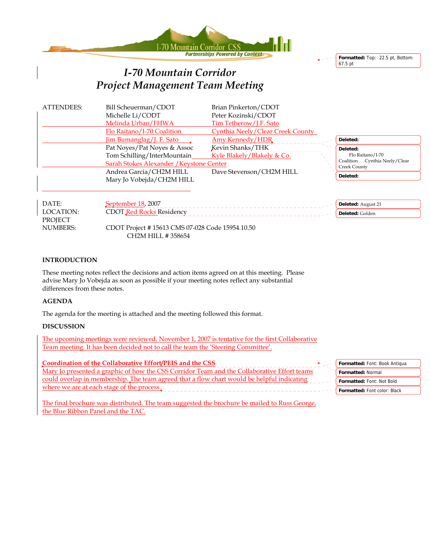



# *I-70 Mountain Corridor Project Management Team Meeting*

| <b>ATTENDEES:</b> | Bill Scheuerman/CDOT                            | Brian Pinkerton/CDOT             |  |                                               |
|-------------------|-------------------------------------------------|----------------------------------|--|-----------------------------------------------|
|                   | Michelle Li/CODT                                | Peter Kozinski/CDOT              |  |                                               |
|                   | Melinda Urban/FHWA                              | Tim Tetherow/J.F. Sato           |  |                                               |
|                   | Flo Raitano/I-70 Coalition                      | Cynthia Neely/Clear Creek County |  |                                               |
|                   | Jim Bumanglag/J. F. Sato                        | Amy Kennedy/HDR                  |  | Deleted:                                      |
|                   | Pat Noyes/Pat Noyes & Assoc                     | Kevin Shanks/THK                 |  | Deleted:                                      |
|                   | Tom Schilling/InterMountain                     | Kyle Blakely/Blakely & Co.       |  | Flo Raitano/I-70                              |
|                   | Sarah Stokes Alexander / Keystone Center        |                                  |  | Coalition Cynthia Neely/Clear<br>Creek County |
|                   | Andrea Garcia/CH2M HILL                         | Dave Stevenson/CH2M HILL         |  |                                               |
|                   | Mary Jo Vobejda/CH2M HILL                       |                                  |  | Deleted:                                      |
|                   |                                                 |                                  |  |                                               |
| DATE:             |                                                 |                                  |  |                                               |
|                   | September 18, 2007                              |                                  |  | Deleted: August 21                            |
| LOCATION:         | <b>CDOT</b> Red Rocks Residency                 |                                  |  | Deleted: Golden                               |
| <b>PROJECT</b>    |                                                 |                                  |  |                                               |
| <b>NUMBERS:</b>   | CDOT Project #15613 CMS 07-028 Code 15954.10.50 |                                  |  |                                               |
|                   | CH2M HILL #358654                               |                                  |  |                                               |

#### **INTRODUCTION**

These meeting notes reflect the decisions and action items agreed on at this meeting. Please advise Mary Jo Vobejda as soon as possible if your meeting notes reflect any substantial differences from these notes.

## **AGENDA**

The agenda for the meeting is attached and the meeting followed this format.

#### **DISCUSSION**

The upcoming meetings were reviewed. November 1, 2007 is tentative for the first Collaborative Team meeting. It has been decided not to call the team the 'Steering Committee'.

| Coordination of the Collaborative Effort/PEIS and the CSS                                   | Formatted: Font: Book Antiqua       |
|---------------------------------------------------------------------------------------------|-------------------------------------|
| Mary Jo presented a graphic of how the CSS Corridor Team and the Collaborative Effort teams | <b>Formatted: Normal</b>            |
| could overlap in membership. The team agreed that a flow chart would be helpful indicating  | <b>Formatted: Font: Not Bold</b>    |
| where we are at each stage of the process.                                                  | <b>Formatted: Font color: Black</b> |
|                                                                                             |                                     |

The final brochure was distributed. The team suggested the brochure be mailed to Russ George, the Blue Ribbon Panel and the TAC.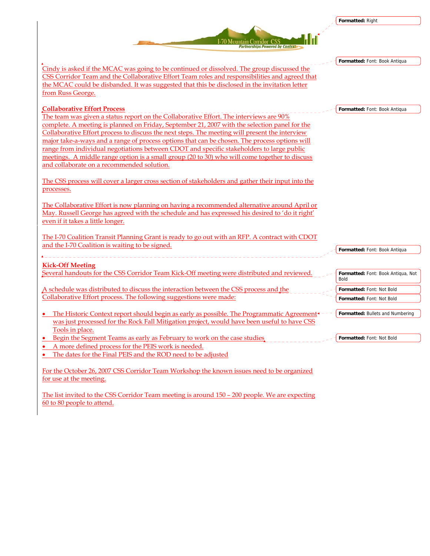|                                                                                                                                                                                                 | Formatted: Right                           |
|-------------------------------------------------------------------------------------------------------------------------------------------------------------------------------------------------|--------------------------------------------|
| I-70 Mountain Corridor CSS<br><b>Partnerships Powered by Context</b>                                                                                                                            |                                            |
|                                                                                                                                                                                                 | Formatted: Font: Book Antiqua              |
| Cindy is asked if the MCAC was going to be continued or dissolved. The group discussed the                                                                                                      |                                            |
| CSS Corridor Team and the Collaborative Effort Team roles and responsibilities and agreed that                                                                                                  |                                            |
| the MCAC could be disbanded. It was suggested that this be disclosed in the invitation letter<br>from Russ George.                                                                              |                                            |
| <b>Collaborative Effort Process</b>                                                                                                                                                             | Formatted: Font: Book Antiqua              |
| The team was given a status report on the Collaborative Effort. The interviews are 90%                                                                                                          |                                            |
| complete. A meeting is planned on Friday, September 21, 2007 with the selection panel for the<br>Collaborative Effort process to discuss the next steps. The meeting will present the interview |                                            |
| major take-a-ways and a range of process options that can be chosen. The process options will                                                                                                   |                                            |
| range from individual negotiations between CDOT and specific stakeholders to large public                                                                                                       |                                            |
| meetings. A middle range option is a small group (20 to 30) who will come together to discuss                                                                                                   |                                            |
| and collaborate on a recommended solution.                                                                                                                                                      |                                            |
| The CSS process will cover a larger cross section of stakeholders and gather their input into the<br>processes.                                                                                 |                                            |
| The Collaborative Effort is now planning on having a recommended alternative around April or<br>May. Russell George has agreed with the schedule and has expressed his desired to 'do it right' |                                            |
| even if it takes a little longer.                                                                                                                                                               |                                            |
| The I-70 Coalition Transit Planning Grant is ready to go out with an RFP. A contract with CDOT<br>and the I-70 Coalition is waiting to be signed.                                               |                                            |
|                                                                                                                                                                                                 | Formatted: Font: Book Antiqua              |
| <b>Kick-Off Meeting</b>                                                                                                                                                                         |                                            |
| Several handouts for the CSS Corridor Team Kick-Off meeting were distributed and reviewed.                                                                                                      | Formatted: Font: Book Antiqua, Not<br>Bold |
| A schedule was distributed to discuss the interaction between the CSS process and the                                                                                                           | Formatted: Font: Not Bold                  |
| Collaborative Effort process. The following suggestions were made:                                                                                                                              | Formatted: Font: Not Bold                  |
| The Historic Context report should begin as early as possible. The Programmatic Agreement                                                                                                       | <b>Formatted: Bullets and Numbering</b>    |
| was just processed for the Rock Fall Mitigation project, would have been useful to have CSS<br>Tools in place.                                                                                  |                                            |
| Begin the Segment Teams as early as February to work on the case studies                                                                                                                        | Formatted: Font: Not Bold                  |
| A more defined process for the PEIS work is needed.                                                                                                                                             |                                            |
| The dates for the Final PEIS and the ROD need to be adjusted                                                                                                                                    |                                            |
| For the October 26, 2007 CSS Corridor Team Workshop the known issues need to be organized                                                                                                       |                                            |
| for use at the meeting.                                                                                                                                                                         |                                            |

The list invited to the CSS Corridor Team meeting is around 150 – 200 people. We are expecting 60 to 80 people to attend.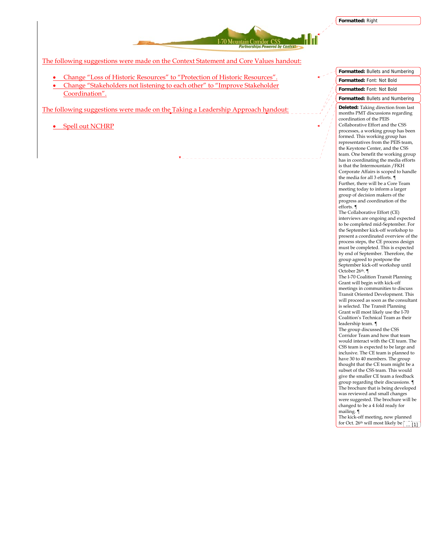

The following suggestions were made on the Context Statement and Core Values handout:

- Change "Loss of Historic Resources" to "Protection of Historic Resources".
- Change "Stakeholders not listening to each other" to "Improve Stakeholder Coordination".

The following suggestions were made on the Taking a Leadership Approach handout:

• Spell out NCHRP

**Formatted:** Font: Not Bold **Formatted:** Bullets and Numbering **Deleted:** Taking direction from last months PMT discussions regarding coordination of the PEIS Collaborative Effort and the CSS processes, a working group has been formed. This working group has representatives from the PEIS team, the Keystone Center, and the CSS team. One benefit the working group has in coordinating the media efforts is that the Intermountain /FKH Corporate Affairs is scoped to handle the media for all 3 efforts. ¶ Further, there will be a Core Team meeting today to inform a larger group of decision makers of the progress and coordination of the efforts. ¶ The Collaborative Effort (CE) interviews are ongoing and expected to be completed mid-September. For the September kick-off workshop to present a coordinated overview of the process steps, the CE process design must be completed. This is expected by end of September. Therefore, the group agreed to postpone the September kick-off workshop until October 26th. ¶ The I-70 Coalition Transit Planning Grant will begin with kick-off meetings in communities to discuss Transit Oriented Development. This will proceed as soon as the consultant is selected. The Transit Planning

**Formatted:** Bullets and Numbering **Formatted:** Font: Not Bold

Grant will most likely use the I-70 Coalition's Technical Team as their leadership team. ¶ The group discussed the CSS Corridor Team and how that team would interact with the CE team. The CSS team is expected to be large and inclusive. The CE team is planned to have 30 to 40 members. The group thought that the CE team might be a subset of the CSS team. This would

give the smaller CE team a feedback group regarding their discussions. ¶ The brochure that is being developed was reviewed and small changes were suggested. The brochure will be changed to be a 4 fold ready for mailing. ¶

The kick-off meeting, now planned for Oct. 26<sup>th</sup> will most likely be  $\frac{1}{11}$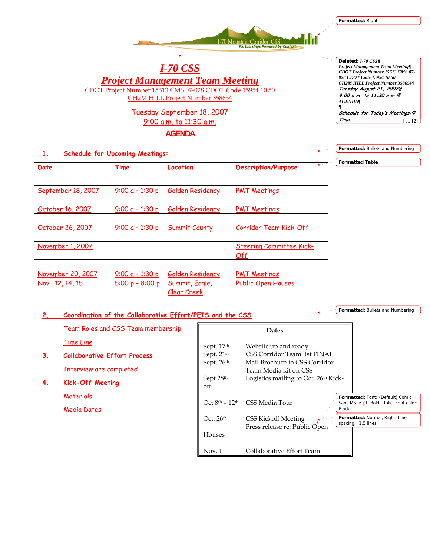**Formatted:** Right

*I-70 CSS Project Management Team Meeting*

I-70 Mountain Corridor CSS

 $\begin{array}{cccccccccccccc} \bot & \bot & \bot & \bot & \bot & \bot \end{array}$ 

 $\begin{array}{cccccccccc} \bot & \bot & \bot & \bot & \bot & \bot \end{array}$ 

CDOT Project Number 15613 CMS 07-028 CDOT Code 15954.10.50

CH2M HILL Project Number 358654

# Tuesday September 18, 2007

9:00 a.m. to 11:30 a.m.

**AGENDA**

## **1. Schedule for Upcoming Meetings:**

| Date                                 | Time                                   | Location                                          | $\bullet$ $\sim$<br><b>Description/Purpose</b>   |
|--------------------------------------|----------------------------------------|---------------------------------------------------|--------------------------------------------------|
| September 18, 2007                   | $9:00a - 1:30p$                        | Golden Residency                                  | <b>PMT Meetings</b>                              |
| October 16, 2007                     | $9:00a - 1:30p$                        | Golden Residency                                  | <b>PMT Meetings</b>                              |
| October 26, 2007                     | $9:00a - 1:30p$                        | Summit County                                     | Corridor Team Kick-Off                           |
| November 1, 2007                     |                                        |                                                   | <b>Steering Committee Kick-</b><br>Off           |
| November 20, 2007<br>Nov. 12, 14, 15 | 9:00 $a - 1:30 p$<br>$5:00 p - 8:00 p$ | Golden Residency<br>Summit, Eagle,<br>Clear Creek | <b>PMT Meetings</b><br><b>Public Open Houses</b> |

# **2. Coordination of the Collaborative Effort/PEIS and the CSS**

Team Roles and CSS Team membership

Time Line

**3. Collaborative Effort Process**

Interview are completed

**4. Kick-Off Meeting** 

**Materials** 

Media Dates

**Formatted:** Bullets and Numbering

**Dates**  Sept. 17<sup>th</sup> Website up and ready Sept. 21<sup>st</sup> CSS Corridor Team list FINAL Sept. 26<sup>th</sup> Mail Brochure to CSS Corridor Team Media kit on CSS<br>Sept 28<sup>th</sup> Logistics mailing to Oct Logistics mailing to Oct. 26th Kickoff Oct 8th – 12th CSS Media Tour Oct. 26<sup>th</sup> CSS Kickoff Meeting Press release re: Public Open Houses Nov. 1 Collaborative Effort Team **Formatted:** Font: (Default) Comic Sans MS, 6 pt, Bold, Italic, Font color: Black **Formatted:** Normal, Right, Line spacing: 1.5 lines

**Deleted:** *I-70 CSS¶ Project Management Team Meeting¶ CDOT Project Number 15613 CMS 07- 028 CDOT Code 15954.10.50 CH2M HILL Project Number 358654¶* **Tuesday August 21, 2007¶ 9:00 a.m. to 11:30 a.m.¶** *AGENDA¶ ¶* **Schedule for Today's Meetings:¶**

**Formatted:** Bullets and Numbering

**Formatted Table**

**Time** ... [2]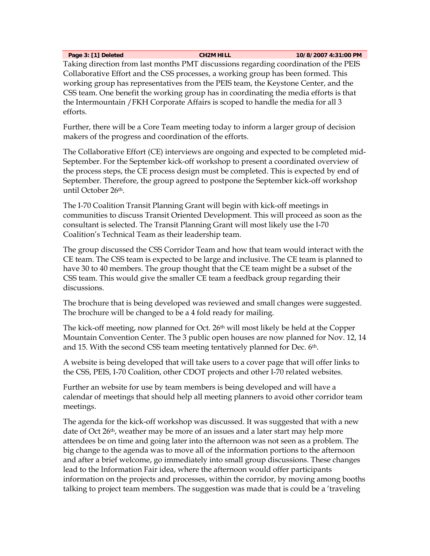**Page 3: [1] Deleted CH2M HILL 10/8/2007 4:31:00 PM** 

Taking direction from last months PMT discussions regarding coordination of the PEIS Collaborative Effort and the CSS processes, a working group has been formed. This working group has representatives from the PEIS team, the Keystone Center, and the CSS team. One benefit the working group has in coordinating the media efforts is that the Intermountain /FKH Corporate Affairs is scoped to handle the media for all 3 efforts.

Further, there will be a Core Team meeting today to inform a larger group of decision makers of the progress and coordination of the efforts.

The Collaborative Effort (CE) interviews are ongoing and expected to be completed mid-September. For the September kick-off workshop to present a coordinated overview of the process steps, the CE process design must be completed. This is expected by end of September. Therefore, the group agreed to postpone the September kick-off workshop until October 26th.

The I-70 Coalition Transit Planning Grant will begin with kick-off meetings in communities to discuss Transit Oriented Development. This will proceed as soon as the consultant is selected. The Transit Planning Grant will most likely use the I-70 Coalition's Technical Team as their leadership team.

The group discussed the CSS Corridor Team and how that team would interact with the CE team. The CSS team is expected to be large and inclusive. The CE team is planned to have 30 to 40 members. The group thought that the CE team might be a subset of the CSS team. This would give the smaller CE team a feedback group regarding their discussions.

The brochure that is being developed was reviewed and small changes were suggested. The brochure will be changed to be a 4 fold ready for mailing.

The kick-off meeting, now planned for Oct. 26th will most likely be held at the Copper Mountain Convention Center. The 3 public open houses are now planned for Nov. 12, 14 and 15. With the second CSS team meeting tentatively planned for Dec. 6th.

A website is being developed that will take users to a cover page that will offer links to the CSS, PEIS, I-70 Coalition, other CDOT projects and other I-70 related websites.

Further an website for use by team members is being developed and will have a calendar of meetings that should help all meeting planners to avoid other corridor team meetings.

The agenda for the kick-off workshop was discussed. It was suggested that with a new date of Oct 26th, weather may be more of an issues and a later start may help more attendees be on time and going later into the afternoon was not seen as a problem. The big change to the agenda was to move all of the information portions to the afternoon and after a brief welcome, go immediately into small group discussions. These changes lead to the Information Fair idea, where the afternoon would offer participants information on the projects and processes, within the corridor, by moving among booths talking to project team members. The suggestion was made that is could be a 'traveling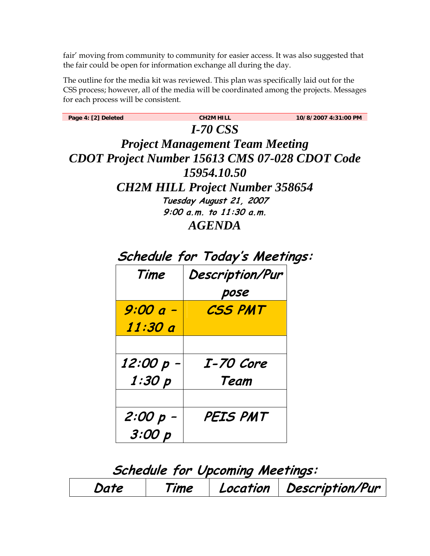fair' moving from community to community for easier access. It was also suggested that the fair could be open for information exchange all during the day.

The outline for the media kit was reviewed. This plan was specifically laid out for the CSS process; however, all of the media will be coordinated among the projects. Messages for each process will be consistent.

| Page 4: [2] Deleted                    |                                                       | <b>CH2M HILL</b>                       | 10/8/2007 4:31:00 PM |  |  |  |  |
|----------------------------------------|-------------------------------------------------------|----------------------------------------|----------------------|--|--|--|--|
| <b>I-70 CSS</b>                        |                                                       |                                        |                      |  |  |  |  |
| <b>Project Management Team Meeting</b> |                                                       |                                        |                      |  |  |  |  |
|                                        | <b>CDOT Project Number 15613 CMS 07-028 CDOT Code</b> |                                        |                      |  |  |  |  |
|                                        |                                                       | 15954.10.50                            |                      |  |  |  |  |
|                                        |                                                       | <b>CH2M HILL Project Number 358654</b> |                      |  |  |  |  |
|                                        |                                                       | Tuesday August 21, 2007                |                      |  |  |  |  |
|                                        |                                                       | $9:00$ a.m. to $11:30$ a.m.            |                      |  |  |  |  |
|                                        |                                                       | <b>AGENDA</b>                          |                      |  |  |  |  |
|                                        |                                                       |                                        |                      |  |  |  |  |
|                                        |                                                       | Schedule for Today's Meetings:         |                      |  |  |  |  |
|                                        | Time                                                  | Description/Pur                        |                      |  |  |  |  |
|                                        |                                                       | pose                                   |                      |  |  |  |  |
|                                        | 9:00 a -                                              | <b>CSS PMT</b>                         |                      |  |  |  |  |
|                                        | 11:30 a                                               |                                        |                      |  |  |  |  |
|                                        |                                                       |                                        |                      |  |  |  |  |
|                                        | 12:00 p -                                             | I-70 Core                              |                      |  |  |  |  |
|                                        | 1:30 p                                                | Team                                   |                      |  |  |  |  |
|                                        |                                                       |                                        |                      |  |  |  |  |
|                                        | 2:00 p -                                              | PEIS PMT                               |                      |  |  |  |  |
|                                        | 3:00 p                                                |                                        |                      |  |  |  |  |

| Schedule for Upcoming Meetings: |      |  |                            |  |
|---------------------------------|------|--|----------------------------|--|
| Date                            | Time |  | Location   Description/Pur |  |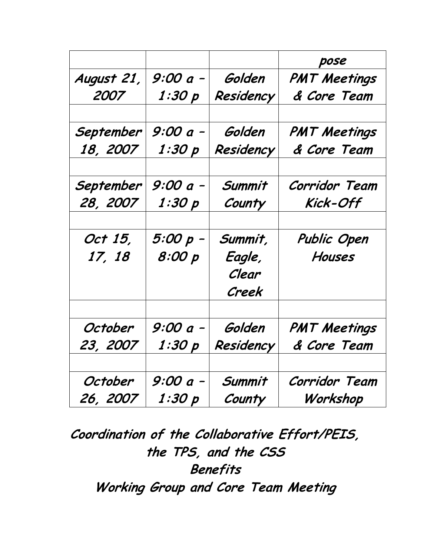|            |          |           | pose                |
|------------|----------|-----------|---------------------|
| August 21, | 9:00 a - | Golden    | <b>PMT Meetings</b> |
| 2007       | 1:30 p   | Residency | & Core Team         |
| September  | 9:00 a - | Golden    | <b>PMT Meetings</b> |
| 18, 2007   | 1:30 p   | Residency | & Core Team         |
| September  | 9:00 a - | Summit    | Corridor Team       |
| 28, 2007   | 1:30 p   | County    | Kick-Off            |
|            |          |           |                     |
| Oct 15,    | 5:00 p - | Summit,   | Public Open         |
| 17, 18     | 8:00 p   | Eagle,    | Houses              |
|            |          | Clear     |                     |
|            |          | Creek     |                     |
| October    | 9:00 a - | Golden    | <b>PMT Meetings</b> |
| 23, 2007   | 1:30 p   | Residency | & Core Team         |
|            |          |           |                     |
| October    | 9:00 a - | Summit    | Corridor Team       |
| 26, 2007   | 1:30 p   | County    | Workshop            |

**Coordination of the Collaborative Effort/PEIS, the TPS, and the CSS Benefits Working Group and Core Team Meeting**